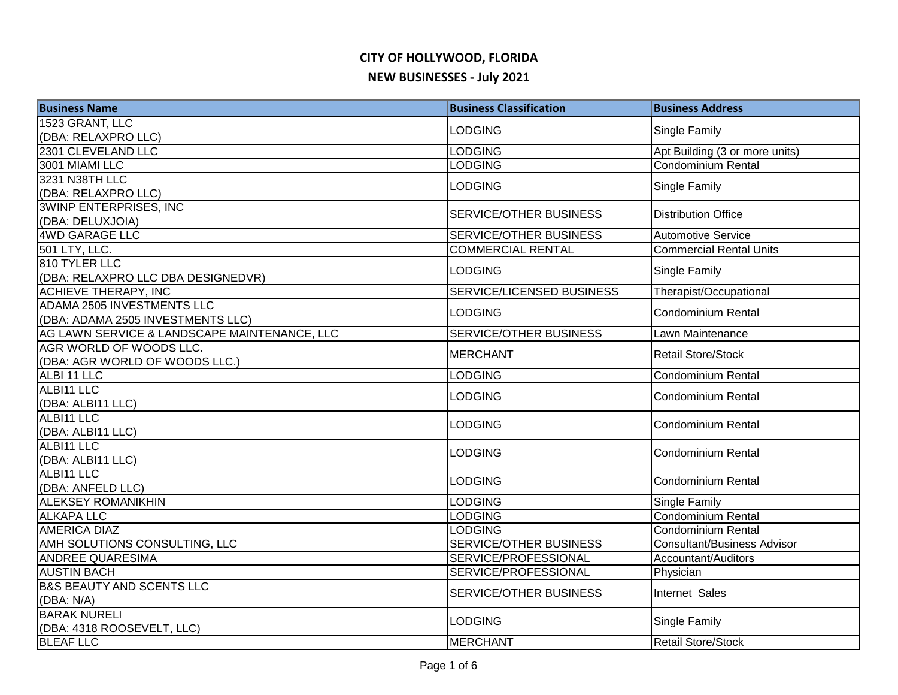| <b>Business Name</b>                         | <b>Business Classification</b> | <b>Business Address</b>            |
|----------------------------------------------|--------------------------------|------------------------------------|
| 1523 GRANT, LLC                              | <b>LODGING</b>                 | Single Family                      |
| (DBA: RELAXPRO LLC)                          |                                |                                    |
| 2301 CLEVELAND LLC                           | <b>LODGING</b>                 | Apt Building (3 or more units)     |
| 3001 MIAMI LLC                               | <b>LODGING</b>                 | <b>Condominium Rental</b>          |
| 3231 N38TH LLC                               | <b>LODGING</b>                 | Single Family                      |
| (DBA: RELAXPRO LLC)                          |                                |                                    |
| <b>3WINP ENTERPRISES, INC.</b>               | SERVICE/OTHER BUSINESS         | <b>Distribution Office</b>         |
| (DBA: DELUXJOIA)                             |                                |                                    |
| <b>4WD GARAGE LLC</b>                        | <b>SERVICE/OTHER BUSINESS</b>  | <b>Automotive Service</b>          |
| 501 LTY, LLC.                                | <b>COMMERCIAL RENTAL</b>       | <b>Commercial Rental Units</b>     |
| 810 TYLER LLC                                | <b>LODGING</b>                 | Single Family                      |
| (DBA: RELAXPRO LLC DBA DESIGNEDVR)           |                                |                                    |
| <b>ACHIEVE THERAPY, INC</b>                  | SERVICE/LICENSED BUSINESS      | Therapist/Occupational             |
| ADAMA 2505 INVESTMENTS LLC                   | <b>LODGING</b>                 | <b>Condominium Rental</b>          |
| (DBA: ADAMA 2505 INVESTMENTS LLC)            |                                |                                    |
| AG LAWN SERVICE & LANDSCAPE MAINTENANCE, LLC | SERVICE/OTHER BUSINESS         | Lawn Maintenance                   |
| AGR WORLD OF WOODS LLC.                      | <b>MERCHANT</b>                | <b>Retail Store/Stock</b>          |
| (DBA: AGR WORLD OF WOODS LLC.)               |                                |                                    |
| ALBI 11 LLC                                  | <b>LODGING</b>                 | <b>Condominium Rental</b>          |
| ALBI11 LLC                                   | <b>LODGING</b>                 | <b>Condominium Rental</b>          |
| (DBA: ALBI11 LLC)                            |                                |                                    |
| ALBI11 LLC                                   | <b>LODGING</b>                 | <b>Condominium Rental</b>          |
| (DBA: ALBI11 LLC)<br>ALBI11 LLC              |                                |                                    |
| (DBA: ALBI11 LLC)                            | <b>LODGING</b>                 | <b>Condominium Rental</b>          |
| ALBI11 LLC                                   |                                |                                    |
| (DBA: ANFELD LLC)                            | <b>LODGING</b>                 | Condominium Rental                 |
| <b>ALEKSEY ROMANIKHIN</b>                    | <b>LODGING</b>                 | Single Family                      |
| <b>ALKAPA LLC</b>                            | <b>LODGING</b>                 | <b>Condominium Rental</b>          |
| <b>AMERICA DIAZ</b>                          | <b>LODGING</b>                 | <b>Condominium Rental</b>          |
| AMH SOLUTIONS CONSULTING, LLC                | SERVICE/OTHER BUSINESS         | <b>Consultant/Business Advisor</b> |
| <b>ANDREE QUARESIMA</b>                      | SERVICE/PROFESSIONAL           | Accountant/Auditors                |
| <b>AUSTIN BACH</b>                           | SERVICE/PROFESSIONAL           | Physician                          |
| <b>B&amp;S BEAUTY AND SCENTS LLC</b>         |                                |                                    |
| (DBA: N/A)                                   | <b>SERVICE/OTHER BUSINESS</b>  | Internet Sales                     |
| <b>BARAK NURELI</b>                          |                                |                                    |
| (DBA: 4318 ROOSEVELT, LLC)                   | <b>LODGING</b>                 | Single Family                      |
| <b>BLEAF LLC</b>                             | <b>MERCHANT</b>                | Retail Store/Stock                 |
|                                              |                                |                                    |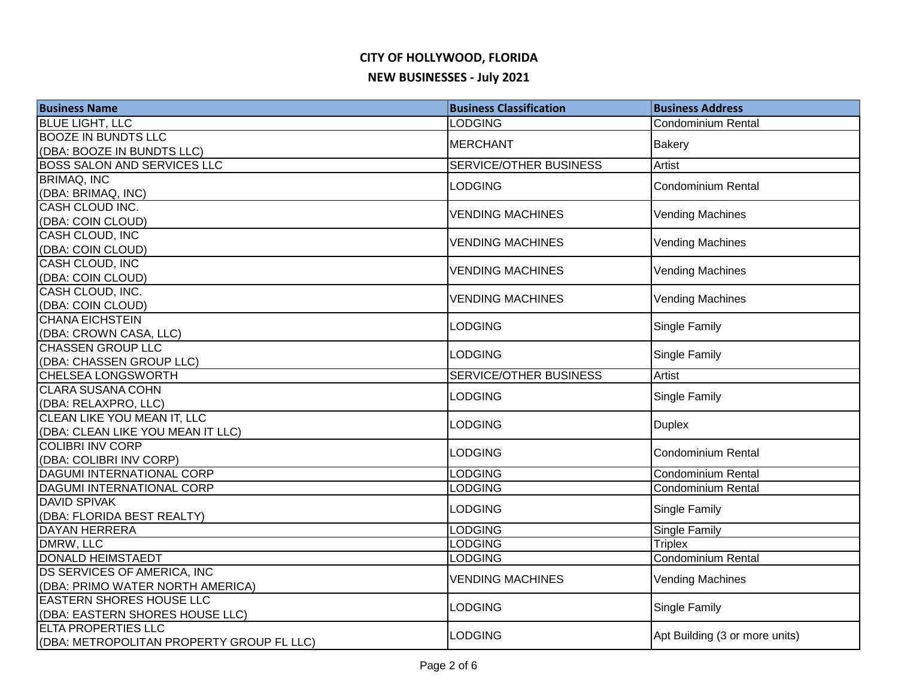# **CITY OF HOLLYWOOD, FLORIDA**

#### **NEW BUSINESSES - July 2021**

| <b>Business Name</b>                                         | <b>Business Classification</b>   | <b>Business Address</b>                                |
|--------------------------------------------------------------|----------------------------------|--------------------------------------------------------|
| <b>BLUE LIGHT, LLC</b>                                       | <b>LODGING</b>                   | Condominium Rental                                     |
| <b>BOOZE IN BUNDTS LLC</b>                                   | <b>MERCHANT</b>                  | <b>Bakery</b>                                          |
| (DBA: BOOZE IN BUNDTS LLC)                                   |                                  |                                                        |
| <b>BOSS SALON AND SERVICES LLC</b>                           | SERVICE/OTHER BUSINESS           | <b>Artist</b>                                          |
| <b>BRIMAQ, INC</b>                                           | <b>LODGING</b>                   | <b>Condominium Rental</b>                              |
| (DBA: BRIMAQ, INC)                                           |                                  |                                                        |
| <b>CASH CLOUD INC.</b>                                       | <b>VENDING MACHINES</b>          | <b>Vending Machines</b>                                |
| (DBA: COIN CLOUD)                                            |                                  |                                                        |
| <b>CASH CLOUD, INC</b>                                       | <b>VENDING MACHINES</b>          | <b>Vending Machines</b>                                |
| (DBA: COIN CLOUD)                                            |                                  |                                                        |
| <b>CASH CLOUD, INC</b>                                       | <b>VENDING MACHINES</b>          | <b>Vending Machines</b>                                |
| (DBA: COIN CLOUD)                                            |                                  |                                                        |
| CASH CLOUD, INC.                                             | <b>VENDING MACHINES</b>          | <b>Vending Machines</b>                                |
| (DBA: COIN CLOUD)                                            |                                  |                                                        |
| <b>CHANA EICHSTEIN</b>                                       | <b>LODGING</b>                   | Single Family                                          |
| (DBA: CROWN CASA, LLC)                                       |                                  |                                                        |
| <b>CHASSEN GROUP LLC</b>                                     | <b>LODGING</b>                   | Single Family                                          |
| (DBA: CHASSEN GROUP LLC)                                     |                                  |                                                        |
| <b>CHELSEA LONGSWORTH</b>                                    | SERVICE/OTHER BUSINESS           | Artist                                                 |
| <b>CLARA SUSANA COHN</b>                                     | <b>LODGING</b>                   | Single Family                                          |
| (DBA: RELAXPRO, LLC)                                         |                                  |                                                        |
| CLEAN LIKE YOU MEAN IT, LLC                                  | <b>LODGING</b>                   | <b>Duplex</b>                                          |
| (DBA: CLEAN LIKE YOU MEAN IT LLC)<br><b>COLIBRI INV CORP</b> |                                  |                                                        |
|                                                              | <b>LODGING</b>                   | <b>Condominium Rental</b>                              |
| (DBA: COLIBRI INV CORP)<br><b>DAGUMI INTERNATIONAL CORP</b>  |                                  |                                                        |
| <b>DAGUMI INTERNATIONAL CORP</b>                             | <b>LODGING</b><br><b>LODGING</b> | <b>Condominium Rental</b><br><b>Condominium Rental</b> |
| <b>DAVID SPIVAK</b>                                          |                                  |                                                        |
| (DBA: FLORIDA BEST REALTY)                                   | <b>LODGING</b>                   | Single Family                                          |
| <b>DAYAN HERRERA</b>                                         | <b>LODGING</b>                   | Single Family                                          |
| DMRW, LLC                                                    | <b>LODGING</b>                   | <b>Triplex</b>                                         |
| <b>DONALD HEIMSTAEDT</b>                                     | <b>LODGING</b>                   | <b>Condominium Rental</b>                              |
| DS SERVICES OF AMERICA, INC                                  |                                  |                                                        |
| (DBA: PRIMO WATER NORTH AMERICA)                             | <b>VENDING MACHINES</b>          | <b>Vending Machines</b>                                |
| <b>EASTERN SHORES HOUSE LLC</b>                              |                                  |                                                        |
| (DBA: EASTERN SHORES HOUSE LLC)                              | <b>LODGING</b>                   | Single Family                                          |
| <b>ELTA PROPERTIES LLC</b>                                   |                                  |                                                        |
| (DBA: METROPOLITAN PROPERTY GROUP FL LLC)                    | <b>LODGING</b>                   | Apt Building (3 or more units)                         |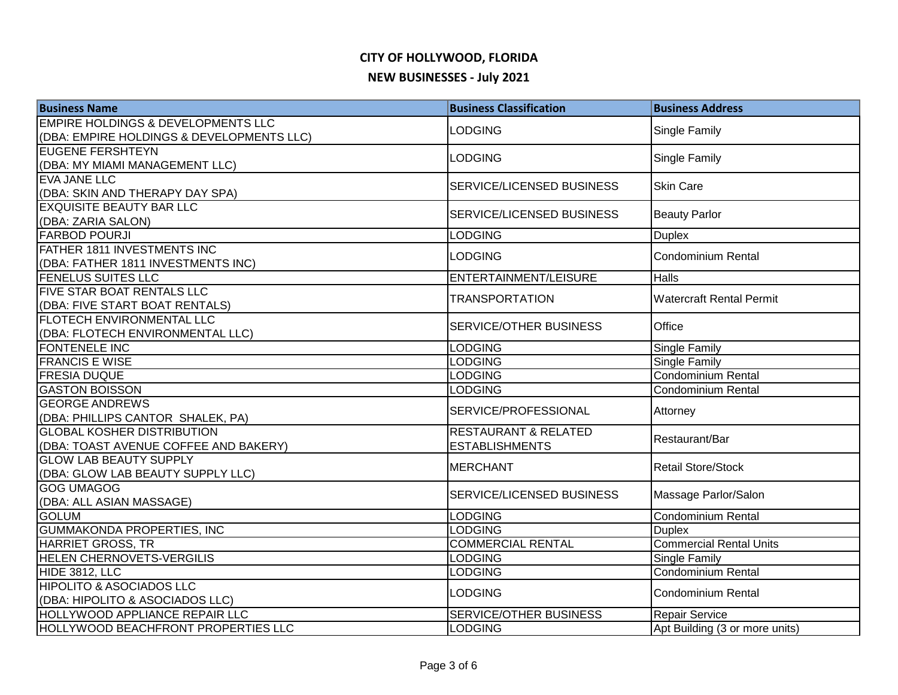| <b>Business Name</b>                          | <b>Business Classification</b>  | <b>Business Address</b>         |
|-----------------------------------------------|---------------------------------|---------------------------------|
| <b>EMPIRE HOLDINGS &amp; DEVELOPMENTS LLC</b> | <b>LODGING</b>                  | <b>Single Family</b>            |
| (DBA: EMPIRE HOLDINGS & DEVELOPMENTS LLC)     |                                 |                                 |
| <b>EUGENE FERSHTEYN</b>                       | <b>LODGING</b>                  | Single Family                   |
| (DBA: MY MIAMI MANAGEMENT LLC)                |                                 |                                 |
| <b>EVA JANE LLC</b>                           | SERVICE/LICENSED BUSINESS       | <b>Skin Care</b>                |
| (DBA: SKIN AND THERAPY DAY SPA)               |                                 |                                 |
| <b>EXQUISITE BEAUTY BAR LLC</b>               | SERVICE/LICENSED BUSINESS       | <b>Beauty Parlor</b>            |
| (DBA: ZARIA SALON)<br><b>FARBOD POURJI</b>    | <b>LODGING</b>                  | <b>Duplex</b>                   |
| FATHER 1811 INVESTMENTS INC                   |                                 |                                 |
| (DBA: FATHER 1811 INVESTMENTS INC)            | <b>LODGING</b>                  | Condominium Rental              |
| <b>FENELUS SUITES LLC</b>                     | ENTERTAINMENT/LEISURE           | <b>Halls</b>                    |
| FIVE STAR BOAT RENTALS LLC                    |                                 |                                 |
| (DBA: FIVE START BOAT RENTALS)                | <b>TRANSPORTATION</b>           | <b>Watercraft Rental Permit</b> |
| FLOTECH ENVIRONMENTAL LLC                     |                                 | Office                          |
| (DBA: FLOTECH ENVIRONMENTAL LLC)              | SERVICE/OTHER BUSINESS          |                                 |
| FONTENELE INC                                 | <b>LODGING</b>                  | <b>Single Family</b>            |
| <b>FRANCIS E WISE</b>                         | <b>LODGING</b>                  | Single Family                   |
| <b>FRESIA DUQUE</b>                           | <b>LODGING</b>                  | Condominium Rental              |
| <b>GASTON BOISSON</b>                         | <b>LODGING</b>                  | Condominium Rental              |
| <b>GEORGE ANDREWS</b>                         | SERVICE/PROFESSIONAL            |                                 |
| (DBA: PHILLIPS CANTOR SHALEK, PA)             |                                 | Attorney                        |
| <b>GLOBAL KOSHER DISTRIBUTION</b>             | <b>RESTAURANT &amp; RELATED</b> | Restaurant/Bar                  |
| (DBA: TOAST AVENUE COFFEE AND BAKERY)         | <b>ESTABLISHMENTS</b>           |                                 |
| <b>GLOW LAB BEAUTY SUPPLY</b>                 | <b>MERCHANT</b>                 | <b>Retail Store/Stock</b>       |
| (DBA: GLOW LAB BEAUTY SUPPLY LLC)             |                                 |                                 |
| <b>GOG UMAGOG</b>                             | SERVICE/LICENSED BUSINESS       | Massage Parlor/Salon            |
| (DBA: ALL ASIAN MASSAGE)                      |                                 |                                 |
| <b>GOLUM</b>                                  | <b>LODGING</b>                  | Condominium Rental              |
| <b>GUMMAKONDA PROPERTIES, INC</b>             | <b>LODGING</b>                  | <b>Duplex</b>                   |
| <b>HARRIET GROSS, TR</b>                      | <b>COMMERCIAL RENTAL</b>        | <b>Commercial Rental Units</b>  |
| <b>HELEN CHERNOVETS-VERGILIS</b>              | <b>LODGING</b>                  | <b>Single Family</b>            |
| HIDE 3812, LLC                                | LODGING                         | <b>Condominium Rental</b>       |
| <b>HIPOLITO &amp; ASOCIADOS LLC</b>           | <b>LODGING</b>                  | Condominium Rental              |
| (DBA: HIPOLITO & ASOCIADOS LLC)               |                                 |                                 |
| <b>HOLLYWOOD APPLIANCE REPAIR LLC</b>         | SERVICE/OTHER BUSINESS          | <b>Repair Service</b>           |
| <b>HOLLYWOOD BEACHFRONT PROPERTIES LLC</b>    | <b>LODGING</b>                  | Apt Building (3 or more units)  |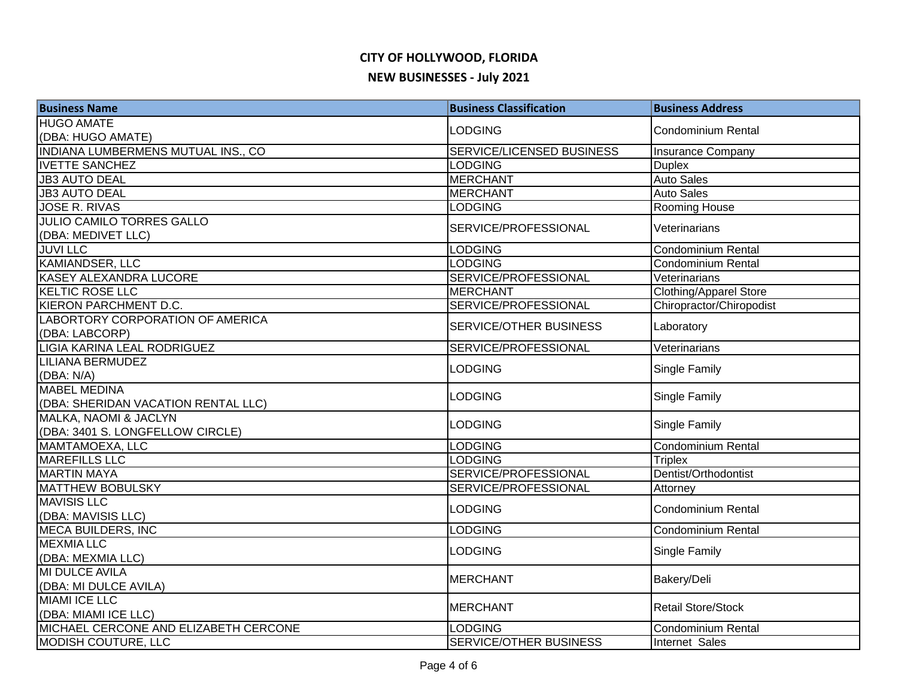| <b>Business Name</b>                               | <b>Business Classification</b> | <b>Business Address</b>   |
|----------------------------------------------------|--------------------------------|---------------------------|
| <b>HUGO AMATE</b>                                  | <b>LODGING</b>                 | <b>Condominium Rental</b> |
| (DBA: HUGO AMATE)                                  |                                |                           |
| INDIANA LUMBERMENS MUTUAL INS., CO                 | SERVICE/LICENSED BUSINESS      | <b>Insurance Company</b>  |
| <b>IVETTE SANCHEZ</b>                              | <b>LODGING</b>                 | <b>Duplex</b>             |
| <b>JB3 AUTO DEAL</b>                               | <b>MERCHANT</b>                | <b>Auto Sales</b>         |
| <b>JB3 AUTO DEAL</b>                               | <b>MERCHANT</b>                | <b>Auto Sales</b>         |
| <b>JOSE R. RIVAS</b>                               | <b>LODGING</b>                 | Rooming House             |
| <b>JULIO CAMILO TORRES GALLO</b>                   | SERVICE/PROFESSIONAL           | Veterinarians             |
| (DBA: MEDIVET LLC)                                 |                                |                           |
| <b>JUVILLC</b>                                     | <b>LODGING</b>                 | Condominium Rental        |
| KAMIANDSER, LLC                                    | <b>LODGING</b>                 | Condominium Rental        |
| <b>KASEY ALEXANDRA LUCORE</b>                      | SERVICE/PROFESSIONAL           | Veterinarians             |
| <b>KELTIC ROSE LLC</b>                             | <b>MERCHANT</b>                | Clothing/Apparel Store    |
| KIERON PARCHMENT D.C.                              | SERVICE/PROFESSIONAL           | Chiropractor/Chiropodist  |
| LABORTORY CORPORATION OF AMERICA<br>(DBA: LABCORP) | <b>SERVICE/OTHER BUSINESS</b>  | Laboratory                |
| LIGIA KARINA LEAL RODRIGUEZ                        | SERVICE/PROFESSIONAL           | Veterinarians             |
| <b>LILIANA BERMUDEZ</b>                            | <b>LODGING</b>                 | <b>Single Family</b>      |
| (DBA: N/A)                                         |                                |                           |
| <b>MABEL MEDINA</b>                                | LODGING                        | Single Family             |
| (DBA: SHERIDAN VACATION RENTAL LLC)                |                                |                           |
| MALKA, NAOMI & JACLYN                              | <b>LODGING</b>                 | Single Family             |
| (DBA: 3401 S. LONGFELLOW CIRCLE)                   |                                |                           |
| MAMTAMOEXA, LLC                                    | <b>LODGING</b>                 | Condominium Rental        |
| <b>MAREFILLS LLC</b>                               | <b>LODGING</b>                 | <b>Triplex</b>            |
| <b>MARTIN MAYA</b>                                 | SERVICE/PROFESSIONAL           | Dentist/Orthodontist      |
| <b>MATTHEW BOBULSKY</b>                            | SERVICE/PROFESSIONAL           | Attorney                  |
| <b>MAVISIS LLC</b>                                 | <b>LODGING</b>                 | <b>Condominium Rental</b> |
| (DBA: MAVISIS LLC)                                 |                                |                           |
| <b>MECA BUILDERS, INC</b>                          | <b>LODGING</b>                 | <b>Condominium Rental</b> |
| <b>MEXMIA LLC</b>                                  | <b>LODGING</b>                 |                           |
| (DBA: MEXMIA LLC)                                  |                                | Single Family             |
| MI DULCE AVILA                                     | <b>MERCHANT</b>                |                           |
| (DBA: MI DULCE AVILA)                              |                                | Bakery/Deli               |
| <b>MIAMI ICE LLC</b>                               |                                |                           |
| (DBA: MIAMI ICE LLC)                               | MERCHANT                       | <b>Retail Store/Stock</b> |
| MICHAEL CERCONE AND ELIZABETH CERCONE              | <b>LODGING</b>                 | <b>Condominium Rental</b> |
| <b>MODISH COUTURE, LLC</b>                         | <b>SERVICE/OTHER BUSINESS</b>  | Internet Sales            |
|                                                    |                                |                           |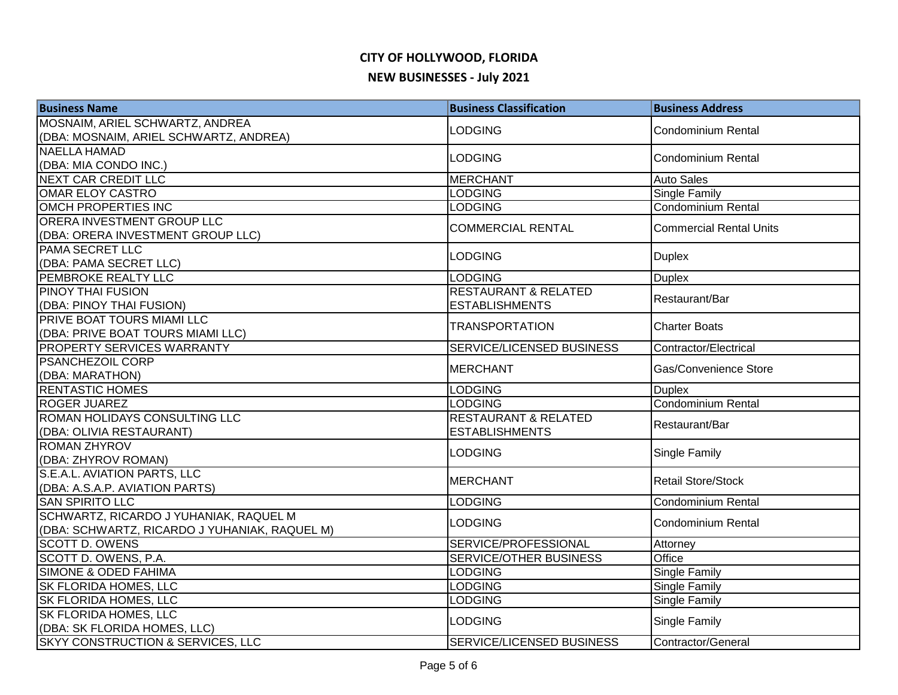| <b>Business Name</b>                          | <b>Business Classification</b>  | <b>Business Address</b>   |
|-----------------------------------------------|---------------------------------|---------------------------|
| MOSNAIM, ARIEL SCHWARTZ, ANDREA               | <b>LODGING</b>                  | Condominium Rental        |
| (DBA: MOSNAIM, ARIEL SCHWARTZ, ANDREA)        |                                 |                           |
| <b>NAELLA HAMAD</b>                           | <b>LODGING</b>                  | Condominium Rental        |
| (DBA: MIA CONDO INC.)                         |                                 |                           |
| <b>NEXT CAR CREDIT LLC</b>                    | <b>MERCHANT</b>                 | <b>Auto Sales</b>         |
| <b>OMAR ELOY CASTRO</b>                       | <b>LODGING</b>                  | <b>Single Family</b>      |
| <b>OMCH PROPERTIES INC</b>                    | <b>LODGING</b>                  | Condominium Rental        |
| ORERA INVESTMENT GROUP LLC                    | <b>COMMERCIAL RENTAL</b>        | Commercial Rental Units   |
| (DBA: ORERA INVESTMENT GROUP LLC)             |                                 |                           |
| <b>PAMA SECRET LLC</b>                        | <b>LODGING</b>                  | Duplex                    |
| (DBA: PAMA SECRET LLC)                        |                                 |                           |
| PEMBROKE REALTY LLC                           | <b>LODGING</b>                  | <b>Duplex</b>             |
| PINOY THAI FUSION                             | <b>RESTAURANT &amp; RELATED</b> | Restaurant/Bar            |
| (DBA: PINOY THAI FUSION)                      | <b>ESTABLISHMENTS</b>           |                           |
| PRIVE BOAT TOURS MIAMI LLC                    | <b>TRANSPORTATION</b>           | <b>Charter Boats</b>      |
| (DBA: PRIVE BOAT TOURS MIAMI LLC)             |                                 |                           |
| <b>PROPERTY SERVICES WARRANTY</b>             | SERVICE/LICENSED BUSINESS       | Contractor/Electrical     |
| <b>PSANCHEZOIL CORP</b>                       | <b>MERCHANT</b>                 | Gas/Convenience Store     |
| (DBA: MARATHON)                               |                                 |                           |
| <b>RENTASTIC HOMES</b>                        | <b>LODGING</b>                  | <b>Duplex</b>             |
| <b>ROGER JUAREZ</b>                           | <b>LODGING</b>                  | <b>Condominium Rental</b> |
| ROMAN HOLIDAYS CONSULTING LLC                 | <b>RESTAURANT &amp; RELATED</b> | Restaurant/Bar            |
| (DBA: OLIVIA RESTAURANT)                      | <b>ESTABLISHMENTS</b>           |                           |
| ROMAN ZHYROV                                  | <b>LODGING</b>                  | <b>Single Family</b>      |
| (DBA: ZHYROV ROMAN)                           |                                 |                           |
| S.E.A.L. AVIATION PARTS, LLC                  | <b>MERCHANT</b>                 | Retail Store/Stock        |
| (DBA: A.S.A.P. AVIATION PARTS)                |                                 |                           |
| <b>SAN SPIRITO LLC</b>                        | <b>LODGING</b>                  | Condominium Rental        |
| SCHWARTZ, RICARDO J YUHANIAK, RAQUEL M        | <b>LODGING</b>                  | Condominium Rental        |
| (DBA: SCHWARTZ, RICARDO J YUHANIAK, RAQUEL M) |                                 |                           |
| <b>SCOTT D. OWENS</b>                         | SERVICE/PROFESSIONAL            | Attorney                  |
| SCOTT D. OWENS, P.A.                          | <b>SERVICE/OTHER BUSINESS</b>   | Office                    |
| <b>SIMONE &amp; ODED FAHIMA</b>               | <b>LODGING</b>                  | <b>Single Family</b>      |
| <b>SK FLORIDA HOMES, LLC</b>                  | <b>LODGING</b>                  | <b>Single Family</b>      |
| SK FLORIDA HOMES, LLC                         | <b>LODGING</b>                  | <b>Single Family</b>      |
| <b>SK FLORIDA HOMES, LLC</b>                  | <b>LODGING</b>                  | Single Family             |
| (DBA: SK FLORIDA HOMES, LLC)                  |                                 |                           |
| SKYY CONSTRUCTION & SERVICES, LLC             | SERVICE/LICENSED BUSINESS       | Contractor/General        |